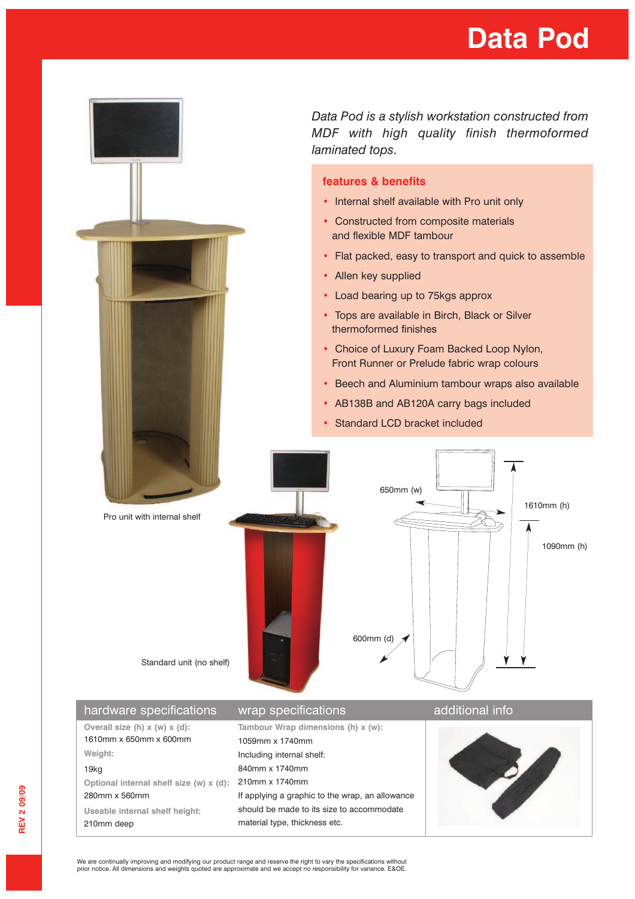## **Data Pod**



*Data Pod is a stylish workstation constructed from MDF with high quality finish thermoformed*

- Internal shelf available with Pro unit only
- Constructed from composite materials and flexible MDF tambour
- Flat packed, easy to transport and quick to assemble
- Load bearing up to 75kgs approx
- Tops are available in Birch, Black or Silver
- Choice of Luxury Foam Backed Loop Nylon, Front Runner or Prelude fabric wrap colours
- Beech and Aluminium tambour wraps also available
- AB138B and AB120A carry bags included
- Standard LCD bracket included



1610mm x 650mm x 600mm **Weight:** 19kg **Optional internal shelf size (w) x (d):** 280mm x 560mm **Useable internal shelf height:** 210mm deep 1059mm x 1740mm Including internal shelf: 840mm x 1740mm 210mm x 1740mm If applying a graphic to the wrap, an allowance should be made to its size to accommodate material type, thickness etc.



We are continually improving and modifying our product range and reserve the right to vary the specifications without<br>prior notice. All dimensions and weights quoted are approximate and we accept no responsibility for vari